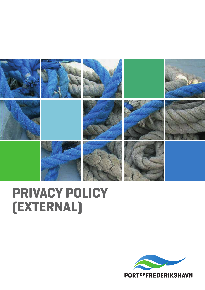

# **PRIVACY POLICY (EXTERNAL)**

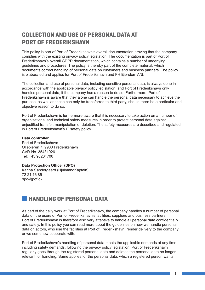# **COLLECTION AND USE OF PERSONAL DATA AT PORT OF FREDERIKSHAVN**

This policy is part of Port of Frederikshavn's overall documentation proving that the company complies with the existing privacy policy legislation. The documentation is part of Port of Frederikshavn's overall GDPR documentation, which contains a number of underlying guidelines and procedures. The policy is thereby part of the complete material, which documents correct handling of personal data on customers and business partners. The policy is elaborated and applies for Port of Frederikshavn and FH Ejendom A/S.

The collection and use of personal data, including sensitive personal data, is always done in accordance with the applicable privacy policy legislation, and Port of Frederikshavn only handles personal data, if the company has a reason to do so. Furthermore, Port of Frederikshavn is aware that they alone can handle the personal data necessary to achieve the purpose, as well as these can only be transferred to third party, should there be a particular and objective reason to do so.

Port of Frederikshavn is furthermore aware that it is necessary to take action on a number of organizational and technical safety measures in order to protect personal data against unjustified transfer, manipulation or deletion. The safety measures are described and regulated in Port of Frederikshavn's IT safety policy.

#### **Data controller**

Port of Frederikshavn Oliepieren 7, 9900 Frederikshavn CVR-No. 35431926 Tel: +45 96204700

#### **Data Protection Officer (DPO)**

Karina Søndergaard (HjulmandKaptain) 72 21 16 85 dpo@pof.dk

## **HANDLING OF PERSONAL DATA**

As part of the daily work at Port of Frederikshavn, the company handles a number of personal data on the users of Port of Frederikshavn's facilities, suppliers and business partners. Port of Frederikshavn is therefore also very attentive to handle all personal data confidentially and safely. In this policy you can read more about the guidelines on how we handle personal data on actors, who use the facilities at Port of Frederikshavn, render delivery to the company or we somehow cooperate with.

Port of Frederikshavn's handling of personal data meets the applicable demands at any time, including safety demands, following the privacy policy legislation. Port of Frederikshavn regularly goes through the registered personal data and deletes the personal data no longer relevant for handling. Same applies for the personal data, which a registered person wants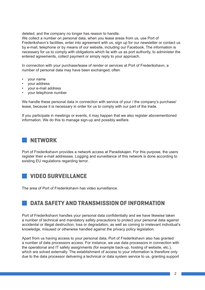deleted, and the company no longer has reason to handle.

We collect a number on personal data, when you lease areas from us, use Port of Frederikshavn's facilities, enter into agreement with us, sign up for our newsletter or contact us by e-mail, telephone or by means of our website, including our Facebook. The information is necessary for us to comply with obligations which lie with us as port authority, to administer the entered agreements, collect payment or simply reply to your approach.

In connection with your purchase/lease of render or services at Port of Frederikshavn, a number of personal data may have been exchanged, often

- your name
- your address
- your e-mail address
- your telephone number

We handle these personal data in connection with service of your / the company's purchase/ lease, because it is necessary in order for us to comply with our part of the trade.

If you participate in meetings or events, it may happen that we also register abovementioned information. We do this to manage sign-up and possibly welfare.

## **NETWORK**

Port of Frederikshavn provides a network access at Paradiskajen. For this purpose, the users register their e-mail addresses. Logging and surveillance of this network is done according to existing EU regulations regarding terror.

# **VIDEO SURVEILLANCE**

The area of Port of Frederikshavn has video surveillance.

## **DATA SAFETY AND TRANSMISSION OF INFORMATION**

Port of Frederikshavn handles your personal data confidentially and we have likewise taken a number of technical and mandatory safety precautions to protect your personal data against accidental or illegal destruction, loss or degradation, as well as coming to irrelevant individual's knowledge, misused or otherwise handled against the privacy policy legislation.

Apart from us having access to your personal data, Port of Frederikshavn also has granted a number of data processors access. For instance, we use data processors in connection with the operational and IT safety assignments (for example back-up, hosting of website, etc.), which are solved externally. The establishment of access to your information is therefore only due to the data processor delivering a technical or data system service to us, granting support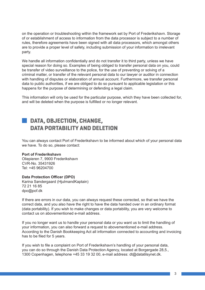on the operation or troubleshooting within the framework set by Port of Frederikshavn. Storage of or establishment of access to information from the data processor is subject to a number of rules, therefore agreements have been signed with all data processors, which amongst others are to provide a proper level of safety, including submission of your information to irrelevant party.

We handle all information confidentially and do not transfer it to third party, unless we have special reason for doing so. Examples of being obliged to transfer personal data on you, could be transfer of video surveillance to the police, for the use of preventing or solving of a criminal matter, or transfer of the relevant personal data to our lawyer or auditor in connection with handling of disputes or elaboration of annual account. Furthermore, we transfer personal data to public authorities, if we are obliged to do so pursuant to applicable legislation or this happens for the purpose of determining or defending a legal claim.

This information will only be used for the particular purpose, which they have been collected for, and will be deleted when the purpose is fulfilled or no longer relevant.

# **DATA, OBJECTION, CHANGE, DATA PORTABILITY AND DELETION**

You can always contact Port of Frederikshavn to be informed about which of your personal data we have. To do so, please contact:

### **Port of Frederikshavn**

Oliepieren 7, 9900 Frederikshavn CVR-No. 35431926 Tel: +45 96204700

#### **Data Protection Officer (DPO)**

Karina Søndergaard (HjulmandKaptain) 72 21 16 85 dpo@pof.dk

If there are errors in our data, you can always request these corrected, so that we have the correct data, and you also have the right to have the data handed over in an ordinary format (data portability). If you wish to make changes or data portability, you are very welcome to contact us on abovementioned e-mail address.

If you no longer want us to handle your personal data or you want us to limit the handling of your information, you can also forward a request to abovementioned e-mail address. According to the Danish Bookkeeping Act all information connected to accounting and invoicing has to be filed for 5 years.

If you wish to file a complaint on Port of Frederikshavn's handling of your personal data, you can do so through the Danish Data Protection Agency, located at Borgergade 28,5., 1300 Copenhagen, telephone +45 33 19 32 00, e-mail address: dt@datatilsynet.dk.